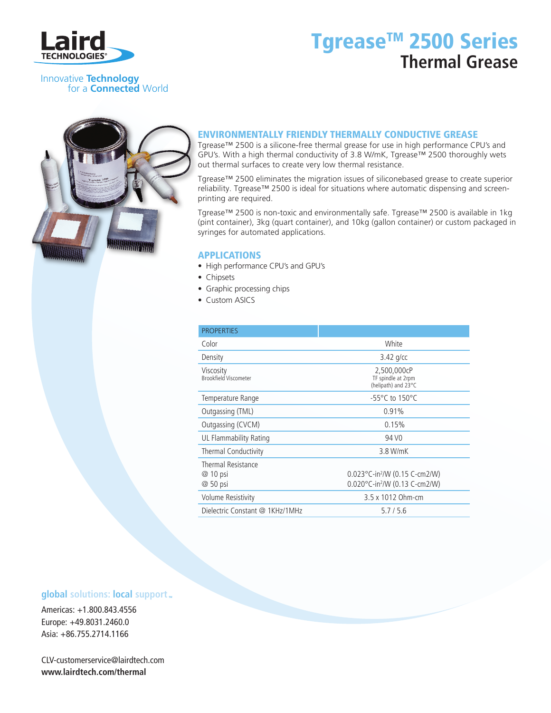

# Tgrease<sup>™</sup> 2500 Series **Thermal Grease**

Innovative **Technology** for a **Connected** World



### ENVIRONMENTALLY FRIENDLY THERMALLY CONDUCTIVE GREASE

Tgrease™ 2500 is a silicone-free thermal grease for use in high performance CPU's and GPU's. With a high thermal conductivity of 3.8 W/mK, Tgrease™ 2500 thoroughly wets out thermal surfaces to create very low thermal resistance.

Tgrease™ 2500 eliminates the migration issues of siliconebased grease to create superior reliability. Tgrease™ 2500 is ideal for situations where automatic dispensing and screenprinting are required.

Tgrease™ 2500 is non-toxic and environmentally safe. Tgrease™ 2500 is available in 1kg (pint container), 3kg (quart container), and 10kg (gallon container) or custom packaged in syringes for automated applications.

#### APPLICATIONS

- High performance CPU's and GPU's
- Chipsets
- Graphic processing chips
- Custom ASICS

| <b>PROPERTIES</b>                                 |                                                                                                  |
|---------------------------------------------------|--------------------------------------------------------------------------------------------------|
| Color                                             | White                                                                                            |
| Density                                           | $3.42$ g/cc                                                                                      |
| Viscosity<br><b>Brookfield Viscometer</b>         | 2,500,000cP<br>TF spindle at 2rpm<br>(helipath) and 23°C                                         |
| Temperature Range                                 | $-55^{\circ}$ C to 150 $^{\circ}$ C                                                              |
| Outgassing (TML)                                  | 0.91%                                                                                            |
| Outgassing (CVCM)                                 | 0.15%                                                                                            |
| <b>UL Flammability Rating</b>                     | 94 V <sub>0</sub>                                                                                |
| Thermal Conductivity                              | 3.8 W/mK                                                                                         |
| <b>Thermal Resistance</b><br>@ 10 psi<br>@ 50 psi | $0.023^{\circ}$ C-in <sup>2</sup> /W (0.15 C-cm2/W)<br>0.020°C-in <sup>2</sup> /W (0.13 C-cm2/W) |
| Volume Resistivity                                | 3.5 x 1012 Ohm-cm                                                                                |
| Dielectric Constant @ 1KHz/1MHz                   | 5.7/5.6                                                                                          |

### **global** solutions: local support  $\mathbb{R}$

Americas: +1.800.843.4556 Europe: +49.8031.2460.0 Asia: +86.755.2714.1166

CLV-customerservice@lairdtech.com **www.lairdtech.com/thermal**